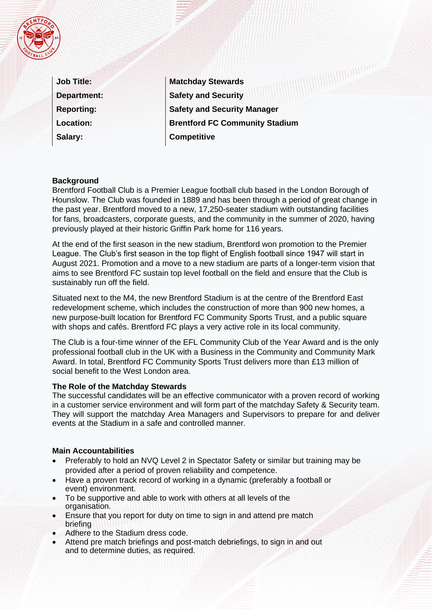

| <b>Job Title:</b>  |
|--------------------|
| <b>Department:</b> |
| <b>Reporting:</b>  |
| <b>Location:</b>   |
| Salary:            |

**Matchday Stewards Safety and Security Safety and Security Manager Brentford FC Community Stadium Competitive** 

## **Background**

Brentford Football Club is a Premier League football club based in the London Borough of Hounslow. The Club was founded in 1889 and has been through a period of great change in the past year. Brentford moved to a new, 17,250-seater stadium with outstanding facilities for fans, broadcasters, corporate guests, and the community in the summer of 2020, having previously played at their historic Griffin Park home for 116 years.

At the end of the first season in the new stadium, Brentford won promotion to the Premier League. The Club's first season in the top flight of English football since 1947 will start in August 2021. Promotion and a move to a new stadium are parts of a longer-term vision that aims to see Brentford FC sustain top level football on the field and ensure that the Club is sustainably run off the field.

Situated next to the M4, the new Brentford Stadium is at the centre of the Brentford East redevelopment scheme, which includes the construction of more than 900 new homes, a new purpose-built location for Brentford FC Community Sports Trust, and a public square with shops and cafés. Brentford FC plays a very active role in its local community.

The Club is a four-time winner of the EFL Community Club of the Year Award and is the only professional football club in the UK with a Business in the Community and Community Mark Award. In total, Brentford FC Community Sports Trust delivers more than £13 million of social benefit to the West London area.

### **The Role of the Matchday Stewards**

The successful candidates will be an effective communicator with a proven record of working in a customer service environment and will form part of the matchday Safety & Security team. They will support the matchday Area Managers and Supervisors to prepare for and deliver events at the Stadium in a safe and controlled manner.

### **Main Accountabilities**

- Preferably to hold an NVQ Level 2 in Spectator Safety or similar but training may be provided after a period of proven reliability and competence.
- Have a proven track record of working in a dynamic (preferably a football or event) environment.
- To be supportive and able to work with others at all levels of the organisation.
- Ensure that you report for duty on time to sign in and attend pre match briefing
- Adhere to the Stadium dress code.
- Attend pre match briefings and post-match debriefings, to sign in and out and to determine duties, as required.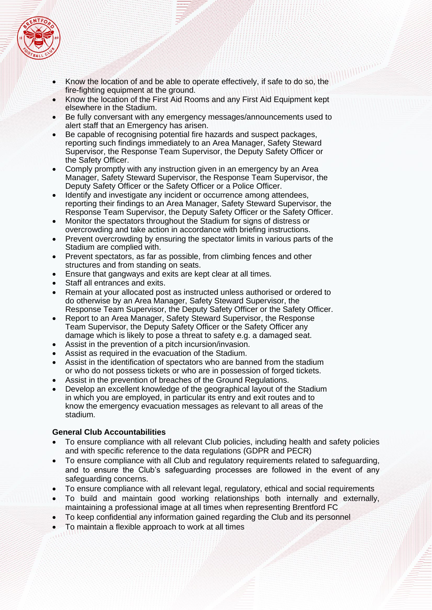

- Know the location of and be able to operate effectively, if safe to do so, the fire-fighting equipment at the ground.
- Know the location of the First Aid Rooms and any First Aid Equipment kept elsewhere in the Stadium.
- Be fully conversant with any emergency messages/announcements used to alert staff that an Emergency has arisen.
- Be capable of recognising potential fire hazards and suspect packages, reporting such findings immediately to an Area Manager, Safety Steward Supervisor, the Response Team Supervisor, the Deputy Safety Officer or the Safety Officer.
- Comply promptly with any instruction given in an emergency by an Area Manager, Safety Steward Supervisor, the Response Team Supervisor, the Deputy Safety Officer or the Safety Officer or a Police Officer.
- Identify and investigate any incident or occurrence among attendees, reporting their findings to an Area Manager, Safety Steward Supervisor, the Response Team Supervisor, the Deputy Safety Officer or the Safety Officer.
- Monitor the spectators throughout the Stadium for signs of distress or overcrowding and take action in accordance with briefing instructions.
- Prevent overcrowding by ensuring the spectator limits in various parts of the Stadium are complied with.
- Prevent spectators, as far as possible, from climbing fences and other structures and from standing on seats.
- Ensure that gangways and exits are kept clear at all times.
- Staff all entrances and exits.
- Remain at your allocated post as instructed unless authorised or ordered to do otherwise by an Area Manager, Safety Steward Supervisor, the Response Team Supervisor, the Deputy Safety Officer or the Safety Officer.
- Report to an Area Manager, Safety Steward Supervisor, the Response Team Supervisor, the Deputy Safety Officer or the Safety Officer any damage which is likely to pose a threat to safety e.g. a damaged seat.
- Assist in the prevention of a pitch incursion/invasion.
- Assist as required in the evacuation of the Stadium.
- Assist in the identification of spectators who are banned from the stadium or who do not possess tickets or who are in possession of forged tickets.
- Assist in the prevention of breaches of the Ground Regulations.
- Develop an excellent knowledge of the geographical layout of the Stadium in which you are employed, in particular its entry and exit routes and to know the emergency evacuation messages as relevant to all areas of the stadium.

# **General Club Accountabilities**

- To ensure compliance with all relevant Club policies, including health and safety policies and with specific reference to the data regulations (GDPR and PECR)
- To ensure compliance with all Club and regulatory requirements related to safeguarding, and to ensure the Club's safeguarding processes are followed in the event of any safeguarding concerns.
- To ensure compliance with all relevant legal, regulatory, ethical and social requirements
- To build and maintain good working relationships both internally and externally, maintaining a professional image at all times when representing Brentford FC
- To keep confidential any information gained regarding the Club and its personnel
- To maintain a flexible approach to work at all times
-